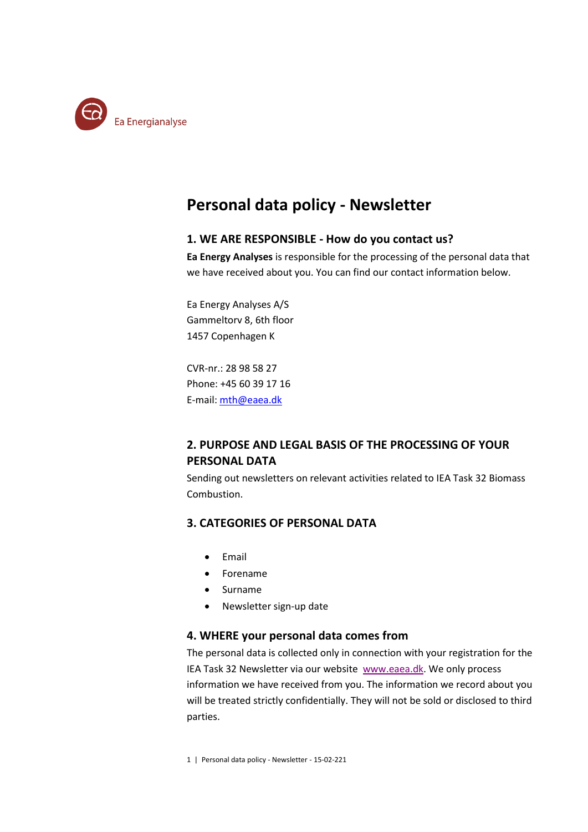

# **Personal data policy - Newsletter**

#### **1. WE ARE RESPONSIBLE - How do you contact us?**

**Ea Energy Analyses** is responsible for the processing of the personal data that we have received about you. You can find our contact information below.

Ea Energy Analyses A/S Gammeltorv 8, 6th floor 1457 Copenhagen K

CVR-nr.: 28 98 58 27 Phone: +45 60 39 17 16 E-mail[: mth@eaea.dk](mailto:mth@eaea.dk)

## **2. PURPOSE AND LEGAL BASIS OF THE PROCESSING OF YOUR PERSONAL DATA**

Sending out newsletters on relevant activities related to IEA Task 32 Biomass Combustion.

## **3. CATEGORIES OF PERSONAL DATA**

- Email
- Forename
- Surname
- Newsletter sign-up date

#### **4. WHERE your personal data comes from**

The personal data is collected only in connection with your registration for the IEA Task 32 Newsletter via our website [www.eaea.dk.](http://www.eaea.dk/) We only process information we have received from you. The information we record about you will be treated strictly confidentially. They will not be sold or disclosed to third parties.

1 | Personal data policy - Newsletter - 15-02-221